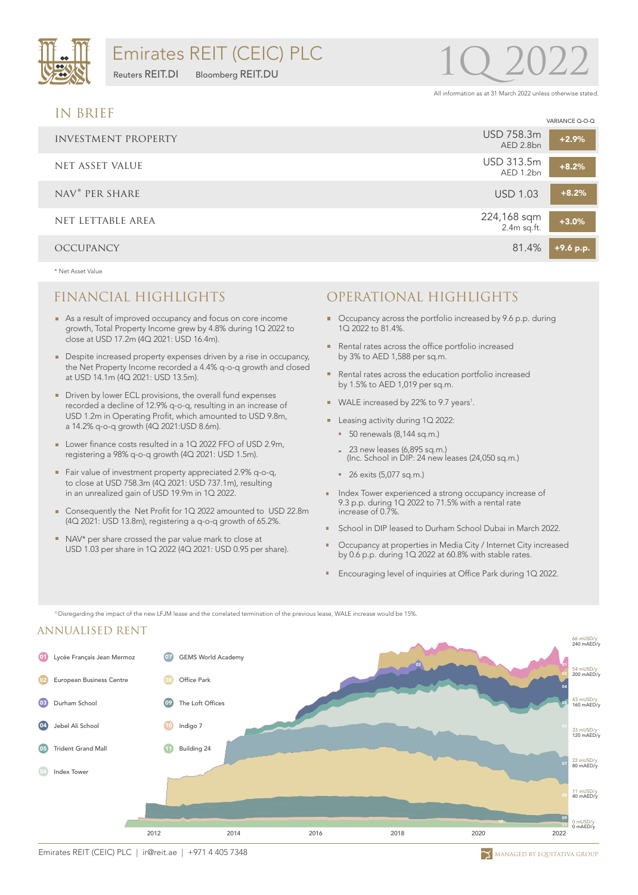

Reuters REIT.DI Bloomberg REIT.DU

# 1Q 2022

All information as at 31 March 2022 unless otherwise stated.

VARIANCE Q-O-Q

### IN BRIEF

|                     | VARIANCE Q-O-Q                        |
|---------------------|---------------------------------------|
| INVESTMENT PROPERTY | USD 758.3m<br>$+2.9%$<br>AED 2.8bn    |
| NET ASSET VALUE     | USD 313.5m<br>$+8.2%$<br>AED 1.2bn    |
| NAV* PER SHARE      | $+8.2%$<br><b>USD 1.03</b>            |
| NET LETTABLE AREA   | 224,168 sqm<br>2.4m sq.ft.<br>$+3.0%$ |
| <b>OCCUPANCY</b>    | 81.4%<br>+9.6 p.p.                    |

\* Net Asset Value

- As a result of improved occupancy and focus on core income growth, Total Property Income grew by 4.8% during 1Q 2022 to close at USD 17.2m (4Q 2021: USD 16.4m).
- Despite increased property expenses driven by a rise in occupancy, the Net Property Income recorded a 4.4% q-o-q growth and closed at USD 14.1m (4Q 2021: USD 13.5m).
- Driven by lower ECL provisions, the overall fund expenses recorded a decline of 12.9% q-o-q, resulting in an increase of USD 1.2m in Operating Profit, which amounted to USD 9.8m, a 14.2% q-o-q growth (4Q 2021:USD 8.6m).
- Lower finance costs resulted in a 1Q 2022 FFO of USD 2.9m, registering a 98% q-o-q growth (4Q 2021: USD 1.5m).
- Fair value of investment property appreciated 2.9% q-o-q, to close at USD 758.3m (4Q 2021: USD 737.1m), resulting in an unrealized gain of USD 19.9m in 1Q 2022.
- Consequently the Net Profit for 1Q 2022 amounted to USD 22.8m (4Q 2021: USD 13.8m), registering a q-o-q growth of 65.2%.
- NAV\* per share crossed the par value mark to close at USD 1.03 per share in 1Q 2022 (4Q 2021: USD 0.95 per share).
- FINANCIAL HIGHLIGHTS OPERATIONAL HIGHLIGHTS
	- Occupancy across the portfolio increased by 9.6 p.p. during 1Q 2022 to 81.4%.
	- Rental rates across the office portfolio increased by 3% to AED 1,588 per sq.m.
	- Rental rates across the education portfolio increased by 1.5% to AED 1,019 per sq.m.
	- WALE increased by 22% to 9.7 years<sup>1</sup>.
	- Leasing activity during 1Q 2022:
		- 50 renewals (8,144 sq.m.)
		- 23 new leases (6,895 sq.m.) (Inc. School in DIP: 24 new leases (24,050 sq.m.)
		- 26 exits (5,077 sq.m.)
	- **Index Tower experienced a strong occupancy increase of** 9.3 p.p. during 1Q 2022 to 71.5% with a rental rate increase of 0.7%.
	- **School in DIP leased to Durham School Dubai in March 2022.**
	- Occupancy at properties in Media City / Internet City increased by 0.6 p.p. during 1Q 2022 at 60.8% with stable rates.
	- **Encouraging level of inquiries at Office Park during 1Q 2022.**

1) Disregarding the impact of the new LFJM lease and the correlated termination of the previous lease, WALE increase would be 15%.

#### ANNUALISED RENT